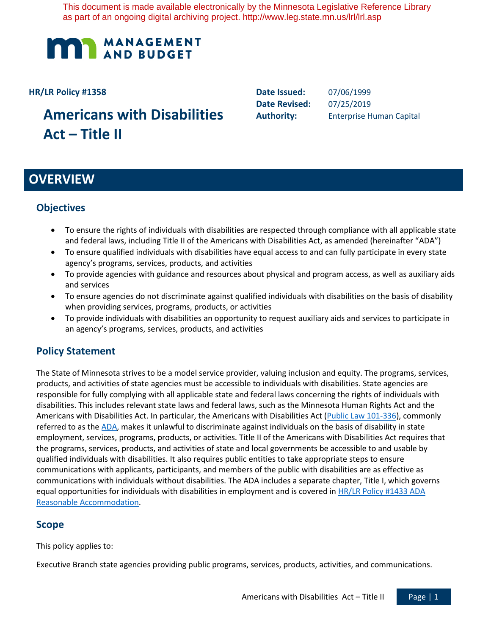This document is made available electronically by the Minnesota Legislative Reference Library as part of an ongoing digital archiving project. http://www.leg.state.mn.us/lrl/lrl.asp



#### **HR/LR Policy #1358**

# **Americans with Disabilities Act – Title II**

**Date Issued:** 07/06/1999 **Date Revised:** 07/25/2019

**Authority:** Enterprise Human Capital

# **OVERVIEW**

## **Objectives**

- To ensure the rights of individuals with disabilities are respected through compliance with all applicable state and federal laws, including Title II of the Americans with Disabilities Act, as amended (hereinafter "ADA")
- To ensure qualified individuals with disabilities have equal access to and can fully participate in every state agency's programs, services, products, and activities
- To provide agencies with guidance and resources about physical and program access, as well as auxiliary aids and services
- To ensure agencies do not discriminate against qualified individuals with disabilities on the basis of disability when providing services, programs, products, or activities
- To provide individuals with disabilities an opportunity to request auxiliary aids and services to participate in an agency's programs, services, products, and activities

## **Policy Statement**

The State of Minnesota strives to be a model service provider, valuing inclusion and equity. The programs, services, products, and activities of state agencies must be accessible to individuals with disabilities. State agencies are responsible for fully complying with all applicable state and federal laws concerning the rights of individuals with disabilities. This includes relevant state laws and federal laws, such as the Minnesota Human Rights Act and the Americans with Disabilities Act. In particular, the Americans with Disabilities Act (Public Law 101-336), commonly referred to as the ADA, makes it unlawful to discriminate against individuals on the basis of disability in state employment, services, programs, products, or activities. Title II of the Americans with Disabilities Act requires that the programs, services, products, and activities of state and local governments be accessible to and usable by qualified individuals with disabilities. It also requires public entities to take appropriate steps to ensure communications with applicants, participants, and members of the public with disabilities are as effective as communications with individuals without disabilities. The ADA includes a separate chapter, Title I, which governs equal opportunities for individuals with disabilities in employment and is covered in HR/LR Policy #1433 ADA Reasonable Accommodation.

## **Scope**

This policy applies to:

Executive Branch state agencies providing public programs, services, products, activities, and communications.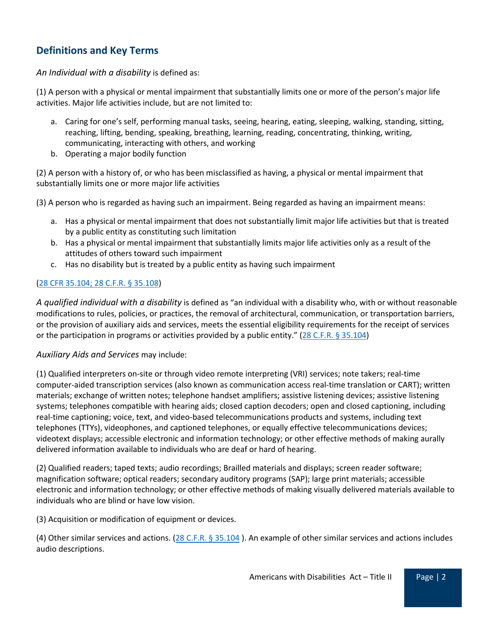# **Definitions and Key Terms**

#### *An Individual with a disability* is defined as:

(1) A person with a physical or mental impairment that substantially limits one or more of the person's major life activities. Major life activities include, but are not limited to:

- a. Caring for one's self, performing manual tasks, seeing, hearing, eating, sleeping, walking, standing, sitting, reaching, lifting, bending, speaking, breathing, learning, reading, concentrating, thinking, writing, communicating, interacting with others, and working
- b. Operating a major bodily function

(2) A person with a history of, or who has been misclassified as having, a physical or mental impairment that substantially limits one or more major life activities

(3) A person who is regarded as having such an impairment. Being regarded as having an impairment means:

- a. Has a physical or mental impairment that does not substantially limit major life activities but that is treated by a public entity as constituting such limitation
- b. Has a physical or mental impairment that substantially limits major life activities only as a result of the attitudes of others toward such impairment
- c. Has no disability but is treated by a public entity as having such impairment

#### [\(28 CFR 35.104;](https://www.ada.gov/regs2010/titleII_2010/titleII_2010_regulations.htm#a35104) 28 C.F.R. § 35.108)

*A qualified individual with a disability* is defined as "an individual with a disability who, with or without reasonable modifications to rules, policies, or practices, the removal of architectural, communication, or transportation barriers, or the provision of auxiliary aids and services, meets the essential eligibility requirements for the receipt of services or the participation in programs or activities provided by a public entity." ( $28$  C.F.R. § 35.104)

#### *Auxiliary Aids and Services* may include:

(1) Qualified interpreters on-site or through video remote interpreting (VRI) services; note takers; real-time computer-aided transcription services (also known as communication access real-time translation or CART); written materials; exchange of written notes; telephone handset amplifiers; assistive listening devices; assistive listening systems; telephones compatible with hearing aids; closed caption decoders; open and closed captioning, including real-time captioning; voice, text, and video-based telecommunications products and systems, including text telephones (TTYs), videophones, and captioned telephones, or equally effective telecommunications devices; videotext displays; accessible electronic and information technology; or other effective methods of making aurally delivered information available to individuals who are deaf or hard of hearing.

(2) Qualified readers; taped texts; audio recordings; Brailled materials and displays; screen reader software; magnification software; optical readers; secondary auditory programs (SAP); large print materials; accessible electronic and information technology; or other effective methods of making visually delivered materials available to individuals who are blind or have low vision.

(3) Acquisition or modification of equipment or devices.

(4) Other similar services and actions. [\(28 C.F.R. § 35.104](https://www.ecfr.gov/cgi-bin/text-idx?SID=fa7c913e013031de2c217c399aeb78e1&mc=true&node=se28.1.35_1104&rgn=div8) ). An example of other similar services and actions includes audio descriptions.

Americans with Disabilities Act – Title II Page | 2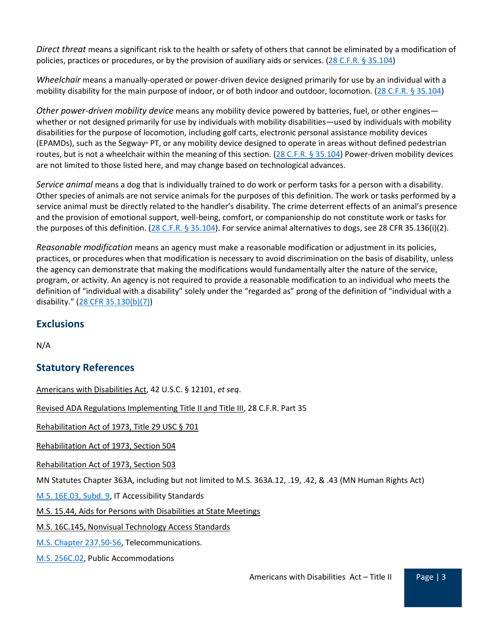*Direct threat* means a significant risk to the health or safety of others that cannot be eliminated by a modification of policies, practices or procedures, or by the provision of auxiliary aids or services. [\(28 C.F.R.](https://www.ada.gov/regs2010/titleII_2010/titleII_2010_regulations.htm#a35104) § 35.104)

*Wheelchair* means a manually-operated or power-driven device designed primarily for use by an individual with a mobility disability for the main purpose of indoor, or of both indoor and outdoor, locomotion. [\(28 C.F.R.](https://www.ada.gov/regs2010/titleII_2010/titleII_2010_regulations.htm#a35104) § 35.104)

*Other power-driven mobility device* means any mobility device powered by batteries, fuel, or other engines whether or not designed primarily for use by individuals with mobility disabilities—used by individuals with mobility disabilities for the purpose of locomotion, including golf carts, electronic personal assistance mobility devices (EPAMDs), such as the Segway® PT, or any mobility device designed to operate in areas without defined pedestrian routes, but is not a wheelchair within the meaning of this section.  $(28 C.F.R. \frac{6}{5} 35.104)$  $(28 C.F.R. \frac{6}{5} 35.104)$  Power-driven mobility devices are not limited to those listed here, and may change based on technological advances.

*Service animal* means a dog that is individually trained to do work or perform tasks for a person with a disability. Other species of animals are not service animals for the purposes of this definition. The work or tasks performed by a service animal must be directly related to the handler's disability. The crime deterrent effects of an animal's presence and the provision of emotional support, well-being, comfort, or companionship do not constitute work or tasks for the purposes of this definition. [\(28 C.F.R.](https://www.ada.gov/regs2010/titleII_2010/titleII_2010_regulations.htm#a35104) § 35.104). For service animal alternatives to dogs, see 28 CFR 35.136(i)(2).

*Reasonable modification* means an agency must make a reasonable modification or adjustment in its policies, practices, or procedures when that modification is necessary to avoid discrimination on the basis of disability, unless the agency can demonstrate that making the modifications would fundamentally alter the nature of the service, program, or activity. An agency is not required to provide a reasonable modification to an individual who meets the definition of "individual with a disability" solely under the "regarded as" prong of the definition of "individual with a disability." [\(28 CFR 35.130\(b\)\(7\)\)](https://www.gpo.gov/fdsys/pkg/CFR-2016-title28-vol1/xml/CFR-2016-title28-vol1-sec35-130.xml)

## **Exclusions**

N/A

# **Statutory References**

[Americans with Disabilities Act,](http://www.law.cornell.edu/uscode/text/42/chapter-126) 42 U.S.C. § 12101, *et seq*.

[Revised ADA Regulations](http://www.ada.gov/regs2010/ADAregs2010.htm) Implementing Title II and Title III, 28 C.F.R. Part 35

[Rehabilitation Act of 1973, Title 29 USC § 701](http://www.gpo.gov/fdsys/pkg/USCODE-2011-title29/pdf/USCODE-2011-title29-chap16-other-sec701.pdf)

Rehabilitation Act of 1973, [Section 504](https://www2.ed.gov/about/offices/list/ocr/504faq.html)

Rehabilitation Act of 1973, [Section 503](https://www.dol.gov/ofccp/regs/compliance/sec503.htm)

MN Statutes Chapter 363A, including but not limited to M.S. 363A.12, .19, .42, & .43 (MN Human Rights Act)

[M.S. 16E.03, Subd. 9,](https://www.revisor.mn.gov/statutes/cite/16E.03) IT Accessibility Standards

[M.S. 15.44, Aids for Persons with Disabilities at State Meetings](https://www.revisor.mn.gov/statutes/?id=15.44)

[M.S. 16C.145, Nonvisual Technology Access Standards](https://www.revisor.mn.gov/statutes/?id=16C.145)

[M.S. Chapter 237.50-56,](https://www.revisor.mn.gov/statutes/cite/237) Telecommunications.

[M.S. 256C.02,](https://www.revisor.mn.gov/statutes/cite/256C.02) Public Accommodations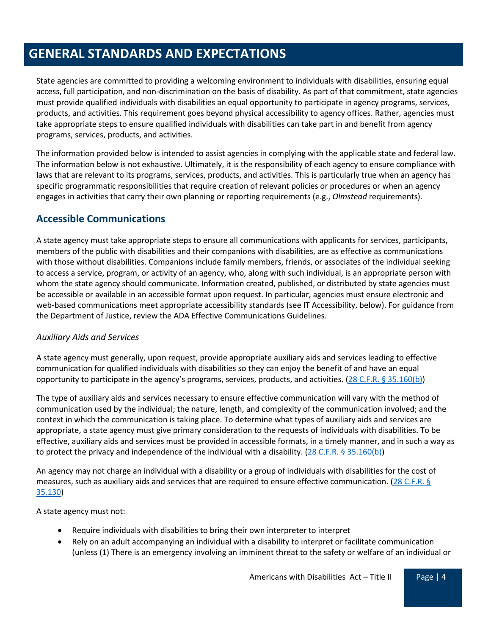# **GENERAL STANDARDS AND EXPECTATIONS**

State agencies are committed to providing a welcoming environment to individuals with disabilities, ensuring equal access, full participation, and non-discrimination on the basis of disability. As part of that commitment, state agencies must provide qualified individuals with disabilities an equal opportunity to participate in agency programs, services, products, and activities. This requirement goes beyond physical accessibility to agency offices. Rather, agencies must take appropriate steps to ensure qualified individuals with disabilities can take part in and benefit from agency programs, services, products, and activities.

The information provided below is intended to assist agencies in complying with the applicable state and federal law. The information below is not exhaustive. Ultimately, it is the responsibility of each agency to ensure compliance with laws that are relevant to its programs, services, products, and activities. This is particularly true when an agency has specific programmatic responsibilities that require creation of relevant policies or procedures or when an agency engages in activities that carry their own planning or reporting requirements (e.g., *Olmstead* requirements).

# **Accessible Communications**

A state agency must take appropriate steps to ensure all communications with applicants for services, participants, members of the public with disabilities and their companions with disabilities, are as effective as communications with those without disabilities. Companions include family members, friends, or associates of the individual seeking to access a service, program, or activity of an agency, who, along with such individual, is an appropriate person with whom the state agency should communicate. Information created, published, or distributed by state agencies must be accessible or available in an accessible format upon request. In particular, agencies must ensure electronic and web-based communications meet appropriate accessibility standards (see IT Accessibility, below). For guidance from the Department of Justice, review the ADA Effective Communications Guidelines.

## *Auxiliary Aids and Services*

A state agency must generally, upon request, provide appropriate auxiliary aids and services leading to effective communication for qualified individuals with disabilities so they can enjoy the benefit of and have an equal opportunity to participate in the agency's programs, services, products, and activities.  $(28 C.F.R. § 35.160(b))$ 

The type of auxiliary aids and services necessary to ensure effective communication will vary with the method of communication used by the individual; the nature, length, and complexity of the communication involved; and the context in which the communication is taking place. To determine what types of auxiliary aids and services are appropriate, a state agency must give primary consideration to the requests of individuals with disabilities. To be effective, auxiliary aids and services must be provided in accessible formats, in a timely manner, and in such a way as to protect the privacy and independence of the individual with a disability. [\(28 C.F.R. § 35.160\(b\)\)](https://www.ada.gov/regs2010/titleII_2010/titleII_2010_regulations.htm#a35160)

An agency may not charge an individual with a disability or a group of individuals with disabilities for the cost of measures, such as auxiliary aids and services that are required to ensure effective communication. [\(28 C.F.R. §](https://www.ada.gov/regs2010/titleII_2010/titleII_2010_regulations.htm#a35130)  [35.130\)](https://www.ada.gov/regs2010/titleII_2010/titleII_2010_regulations.htm#a35130)

A state agency must not:

- Require individuals with disabilities to bring their own interpreter to interpret
- Rely on an adult accompanying an individual with a disability to interpret or facilitate communication (unless (1) There is an emergency involving an imminent threat to the safety or welfare of an individual or

Americans with Disabilities  $Act - Title II$  Page | 4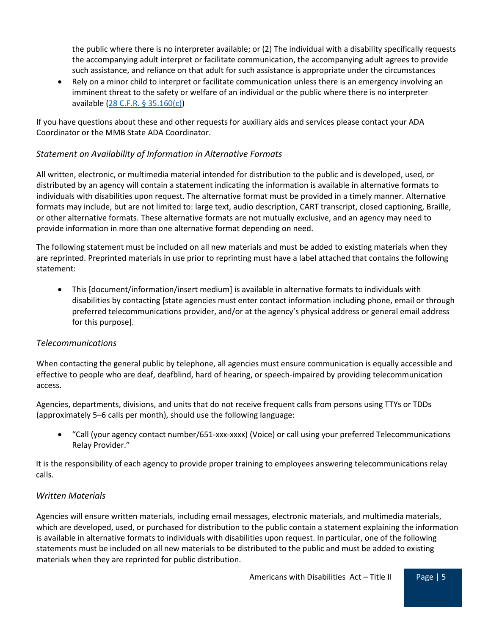the public where there is no interpreter available; or (2) The individual with a disability specifically requests the accompanying adult interpret or facilitate communication, the accompanying adult agrees to provide such assistance, and reliance on that adult for such assistance is appropriate under the circumstances

• Rely on a minor child to interpret or facilitate communication unless there is an emergency involving an imminent threat to the safety or welfare of an individual or the public where there is no interpreter available [\(28 C.F.R. § 35.160\(c\)\)](https://www.ada.gov/regs2010/titleII_2010/titleII_2010_regulations.htm#a35160)

If you have questions about these and other requests for auxiliary aids and services please contact your ADA Coordinator or the MMB State ADA Coordinator.

## *Statement on Availability of Information in Alternative Formats*

All written, electronic, or multimedia material intended for distribution to the public and is developed, used, or distributed by an agency will contain a statement indicating the information is available in alternative formats to individuals with disabilities upon request. The alternative format must be provided in a timely manner. Alternative formats may include, but are not limited to: large text, audio description, CART transcript, closed captioning, Braille, or other alternative formats. These alternative formats are not mutually exclusive, and an agency may need to provide information in more than one alternative format depending on need.

The following statement must be included on all new materials and must be added to existing materials when they are reprinted. Preprinted materials in use prior to reprinting must have a label attached that contains the following statement:

• This [document/information/insert medium] is available in alternative formats to individuals with disabilities by contacting [state agencies must enter contact information including phone, email or through preferred telecommunications provider, and/or at the agency's physical address or general email address for this purpose].

#### *Telecommunications*

When contacting the general public by telephone, all agencies must ensure communication is equally accessible and effective to people who are deaf, deafblind, hard of hearing, or speech-impaired by providing telecommunication access.

Agencies, departments, divisions, and units that do not receive frequent calls from persons using TTYs or TDDs (approximately 5–6 calls per month), should use the following language:

• "Call (your agency contact number/651-xxx-xxxx) (Voice) or call using your preferred Telecommunications Relay Provider."

It is the responsibility of each agency to provide proper training to employees answering telecommunications relay calls.

#### *Written Materials*

Agencies will ensure written materials, including email messages, electronic materials, and multimedia materials, which are developed, used, or purchased for distribution to the public contain a statement explaining the information is available in alternative formats to individuals with disabilities upon request. In particular, one of the following statements must be included on all new materials to be distributed to the public and must be added to existing materials when they are reprinted for public distribution.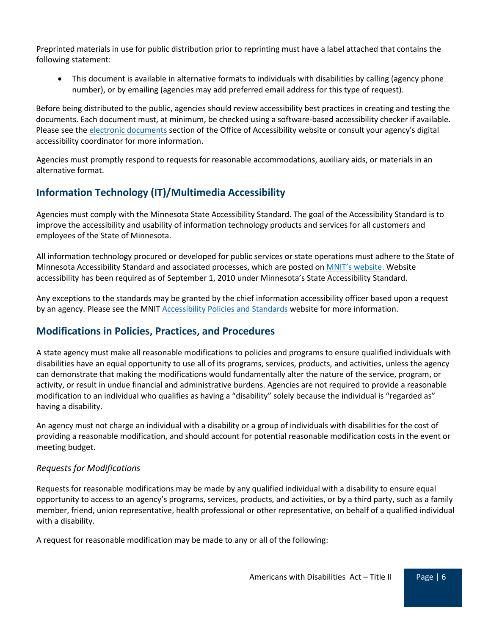Preprinted materials in use for public distribution prior to reprinting must have a label attached that contains the following statement:

• This document is available in alternative formats to individuals with disabilities by calling (agency phone number), or by emailing (agencies may add preferred email address for this type of request).

Before being distributed to the public, agencies should review accessibility best practices in creating and testing the documents. Each document must, at minimum, be checked using a software-based accessibility checker if available. Please see the [electronic documents](https://mn.gov/mnit/about-mnit/accessibility/electronic-documents.jsp) section of the Office of Accessibility website or consult your agency's digital accessibility coordinator for more information.

Agencies must promptly respond to requests for reasonable accommodations, auxiliary aids, or materials in an alternative format.

# **Information Technology (IT)/Multimedia Accessibility**

Agencies must comply with the Minnesota State Accessibility Standard. The goal of the Accessibility Standard is to improve the accessibility and usability of information technology products and services for all customers and employees of the State of Minnesota.

All information technology procured or developed for public services or state operations must adhere to the State of Minnesota Accessibility Standard and associated processes, which are posted on MNIT's website. Website accessibility has been required as of September 1, 2010 under Minnesota's State Accessibility Standard.

Any exceptions to the standards may be granted by the chief information accessibility officer based upon a request by an agency. Please see the MNIT [Accessibility Policies and Standards](https://mn.gov/mnit/government/policies/accessibility/) website for more information.

# **Modifications in Policies, Practices, and Procedures**

A state agency must make all reasonable modifications to policies and programs to ensure qualified individuals with disabilities have an equal opportunity to use all of its programs, services, products, and activities, unless the agency can demonstrate that making the modifications would fundamentally alter the nature of the service, program, or activity, or result in undue financial and administrative burdens. Agencies are not required to provide a reasonable modification to an individual who qualifies as having a "disability" solely because the individual is "regarded as" having a disability.

An agency must not charge an individual with a disability or a group of individuals with disabilities for the cost of providing a reasonable modification, and should account for potential reasonable modification costs in the event or meeting budget.

## *Requests for Modifications*

Requests for reasonable modifications may be made by any qualified individual with a disability to ensure equal opportunity to access to an agency's programs, services, products, and activities, or by a third party, such as a family member, friend, union representative, health professional or other representative, on behalf of a qualified individual with a disability.

A request for reasonable modification may be made to any or all of the following: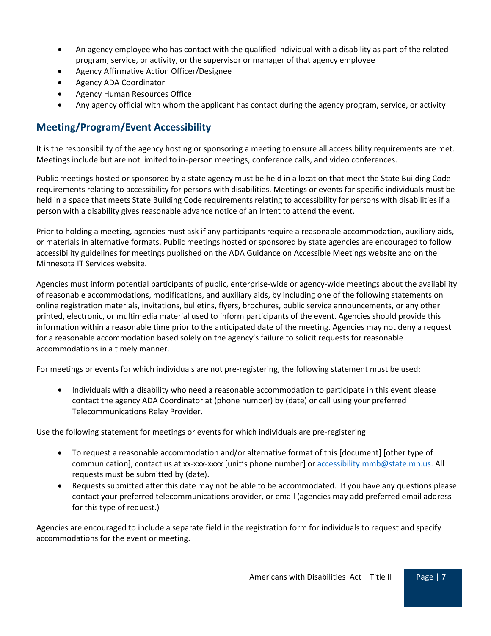- An agency employee who has contact with the qualified individual with a disability as part of the related program, service, or activity, or the supervisor or manager of that agency employee
- Agency Affirmative Action Officer/Designee
- Agency ADA Coordinator
- Agency Human Resources Office
- Any agency official with whom the applicant has contact during the agency program, service, or activity

# **Meeting/Program/Event Accessibility**

It is the responsibility of the agency hosting or sponsoring a meeting to ensure all accessibility requirements are met. Meetings include but are not limited to in-person meetings, conference calls, and video conferences.

Public meetings hosted or sponsored by a state agency must be held in a location that meet the State Building Code requirements relating to accessibility for persons with disabilities. Meetings or events for specific individuals must be held in a space that meets State Building Code requirements relating to accessibility for persons with disabilities if a person with a disability gives reasonable advance notice of an intent to attend the event.

Prior to holding a meeting, agencies must ask if any participants require a reasonable accommodation, auxiliary aids, or materials in alternative formats. Public meetings hosted or sponsored by state agencies are encouraged to follow accessibility guidelines for meetings published on the [ADA Guidance on Accessible Meetings](https://www.ada.gov/business/accessiblemtg.pdf) website and on the [Minnesota IT Services website.](https://mn.gov/mnit/programs/accessibility/meetings.jsp)

Agencies must inform potential participants of public, enterprise-wide or agency-wide meetings about the availability of reasonable accommodations, modifications, and auxiliary aids, by including one of the following statements on online registration materials, invitations, bulletins, flyers, brochures, public service announcements, or any other printed, electronic, or multimedia material used to inform participants of the event. Agencies should provide this information within a reasonable time prior to the anticipated date of the meeting. Agencies may not deny a request for a reasonable accommodation based solely on the agency's failure to solicit requests for reasonable accommodations in a timely manner.

For meetings or events for which individuals are not pre-registering, the following statement must be used:

• Individuals with a disability who need a reasonable accommodation to participate in this event please contact the agency ADA Coordinator at (phone number) by (date) or call using your preferred Telecommunications Relay Provider.

Use the following statement for meetings or events for which individuals are pre-registering

- To request a reasonable accommodation and/or alternative format of this [document] [other type of communication], contact us at xx-xxx-xxxx [unit's phone number] o[r accessibility.mmb@state.mn.us.](mailto:accessibility.mmb@state.mn.us) All requests must be submitted by (date).
- Requests submitted after this date may not be able to be accommodated. If you have any questions please contact your preferred telecommunications provider, or email (agencies may add preferred email address for this type of request.)

Agencies are encouraged to include a separate field in the registration form for individuals to request and specify accommodations for the event or meeting.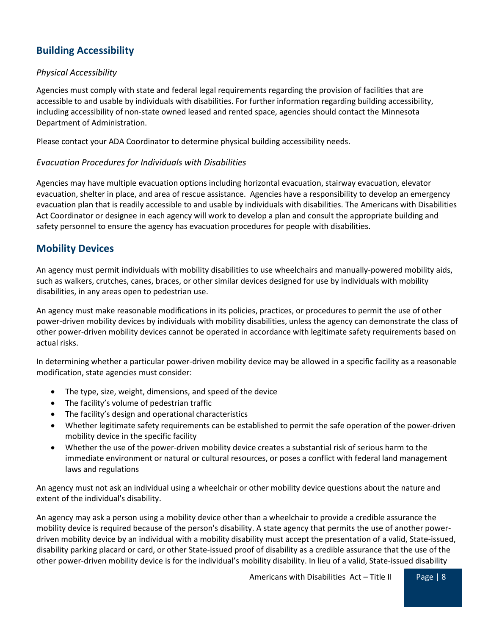# **Building Accessibility**

### *Physical Accessibility*

Agencies must comply with state and federal legal requirements regarding the provision of facilities that are accessible to and usable by individuals with disabilities. For further information regarding building accessibility, including accessibility of non-state owned leased and rented space, agencies should contact the Minnesota Department of Administration.

Please contact your ADA Coordinator to determine physical building accessibility needs.

#### *Evacuation Procedures for Individuals with Disabilities*

Agencies may have multiple evacuation options including horizontal evacuation, stairway evacuation, elevator evacuation, shelter in place, and area of rescue assistance. Agencies have a responsibility to develop an emergency evacuation plan that is readily accessible to and usable by individuals with disabilities. The Americans with Disabilities Act Coordinator or designee in each agency will work to develop a plan and consult the appropriate building and safety personnel to ensure the agency has evacuation procedures for people with disabilities.

## **Mobility Devices**

An agency must permit individuals with mobility disabilities to use wheelchairs and manually-powered mobility aids, such as walkers, crutches, canes, braces, or other similar devices designed for use by individuals with mobility disabilities, in any areas open to pedestrian use.

An agency must make reasonable modifications in its policies, practices, or procedures to permit the use of other power-driven mobility devices by individuals with mobility disabilities, unless the agency can demonstrate the class of other power-driven mobility devices cannot be operated in accordance with legitimate safety requirements based on actual risks.

In determining whether a particular power-driven mobility device may be allowed in a specific facility as a reasonable modification, state agencies must consider:

- The type, size, weight, dimensions, and speed of the device
- The facility's volume of pedestrian traffic
- The facility's design and operational characteristics
- Whether legitimate safety requirements can be established to permit the safe operation of the power-driven mobility device in the specific facility
- Whether the use of the power-driven mobility device creates a substantial risk of serious harm to the immediate environment or natural or cultural resources, or poses a conflict with federal land management laws and regulations

An agency must not ask an individual using a wheelchair or other mobility device questions about the nature and extent of the individual's disability.

An agency may ask a person using a mobility device other than a wheelchair to provide a credible assurance the mobility device is required because of the person's disability. A state agency that permits the use of another powerdriven mobility device by an individual with a mobility disability must accept the presentation of a valid, State-issued, disability parking placard or card, or other State-issued proof of disability as a credible assurance that the use of the other power-driven mobility device is for the individual's mobility disability. In lieu of a valid, State-issued disability

Americans with Disabilities  $Act - Title II$  Page | 8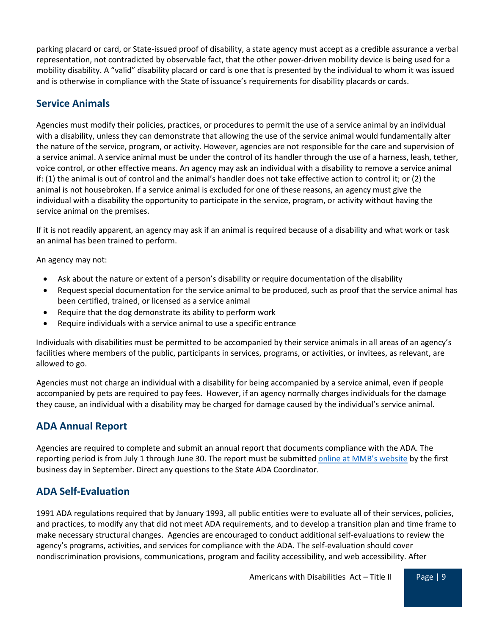parking placard or card, or State-issued proof of disability, a state agency must accept as a credible assurance a verbal representation, not contradicted by observable fact, that the other power-driven mobility device is being used for a mobility disability. A "valid" disability placard or card is one that is presented by the individual to whom it was issued and is otherwise in compliance with the State of issuance's requirements for disability placards or cards.

# **Service Animals**

Agencies must modify their policies, practices, or procedures to permit the use of a service animal by an individual with a disability, unless they can demonstrate that allowing the use of the service animal would fundamentally alter the nature of the service, program, or activity. However, agencies are not responsible for the care and supervision of a service animal. A service animal must be under the control of its handler through the use of a harness, leash, tether, voice control, or other effective means. An agency may ask an individual with a disability to remove a service animal if: (1) the animal is out of control and the animal's handler does not take effective action to control it; or (2) the animal is not housebroken. If a service animal is excluded for one of these reasons, an agency must give the individual with a disability the opportunity to participate in the service, program, or activity without having the service animal on the premises.

If it is not readily apparent, an agency may ask if an animal is required because of a disability and what work or task an animal has been trained to perform.

An agency may not:

- Ask about the nature or extent of a person's disability or require documentation of the disability
- Request special documentation for the service animal to be produced, such as proof that the service animal has been certified, trained, or licensed as a service animal
- Require that the dog demonstrate its ability to perform work
- Require individuals with a service animal to use a specific entrance

Individuals with disabilities must be permitted to be accompanied by their service animals in all areas of an agency's facilities where members of the public, participants in services, programs, or activities, or invitees, as relevant, are allowed to go.

Agencies must not charge an individual with a disability for being accompanied by a service animal, even if people accompanied by pets are required to pay fees. However, if an agency normally charges individuals for the damage they cause, an individual with a disability may be charged for damage caused by the individual's service animal.

## **ADA Annual Report**

Agencies are required to complete and submit an annual report that documents compliance with the ADA. The reporting period is from July 1 through June 30. The report must be submitted [online at MMB's website](https://mn.gov/mmb/employee-relations/equal-opportunity/ada/annual-report-ada.jsp) by the first business day in September. Direct any questions to the State ADA Coordinator.

# **ADA Self-Evaluation**

1991 ADA regulations required that by January 1993, all public entities were to evaluate all of their services, policies, and practices, to modify any that did not meet ADA requirements, and to develop a transition plan and time frame to make necessary structural changes. Agencies are encouraged to conduct additional self-evaluations to review the agency's programs, activities, and services for compliance with the ADA. The self-evaluation should cover nondiscrimination provisions, communications, program and facility accessibility, and web accessibility. After

Americans with Disabilities  $Act - Title II$  Page | 9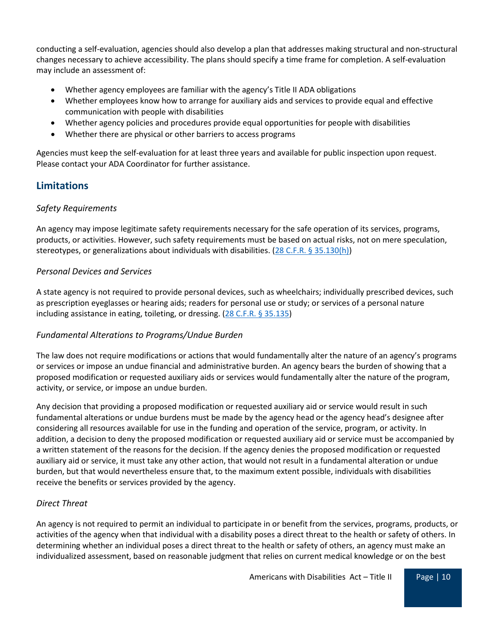conducting a self-evaluation, agencies should also develop a plan that addresses making structural and non-structural changes necessary to achieve accessibility. The plans should specify a time frame for completion. A self-evaluation may include an assessment of:

- Whether agency employees are familiar with the agency's Title II ADA obligations
- Whether employees know how to arrange for auxiliary aids and services to provide equal and effective communication with people with disabilities
- Whether agency policies and procedures provide equal opportunities for people with disabilities
- Whether there are physical or other barriers to access programs

Agencies must keep the self-evaluation for at least three years and available for public inspection upon request. Please contact your ADA Coordinator for further assistance.

# **Limitations**

#### *Safety Requirements*

An agency may impose legitimate safety requirements necessary for the safe operation of its services, programs, products, or activities. However, such safety requirements must be based on actual risks, not on mere speculation, stereotypes, or generalizations about individuals with disabilities.  $(28 C.F.R. § 35.130(h))$ 

#### *Personal Devices and Services*

A state agency is not required to provide personal devices, such as wheelchairs; individually prescribed devices, such as prescription eyeglasses or hearing aids; readers for personal use or study; or services of a personal nature including assistance in eating, toileting, or dressing. [\(28 C.F.R. § 35.135\)](https://www.ecfr.gov/cgi-bin/text-idx?node=28:1.0.1.1.36#se28.1.35_1135)

## *Fundamental Alterations to Programs/Undue Burden*

The law does not require modifications or actions that would fundamentally alter the nature of an agency's programs or services or impose an undue financial and administrative burden. An agency bears the burden of showing that a proposed modification or requested auxiliary aids or services would fundamentally alter the nature of the program, activity, or service, or impose an undue burden.

Any decision that providing a proposed modification or requested auxiliary aid or service would result in such fundamental alterations or undue burdens must be made by the agency head or the agency head's designee after considering all resources available for use in the funding and operation of the service, program, or activity. In addition, a decision to deny the proposed modification or requested auxiliary aid or service must be accompanied by a written statement of the reasons for the decision. If the agency denies the proposed modification or requested auxiliary aid or service, it must take any other action, that would not result in a fundamental alteration or undue burden, but that would nevertheless ensure that, to the maximum extent possible, individuals with disabilities receive the benefits or services provided by the agency.

## *Direct Threat*

An agency is not required to permit an individual to participate in or benefit from the services, programs, products, or activities of the agency when that individual with a disability poses a direct threat to the health or safety of others. In determining whether an individual poses a direct threat to the health or safety of others, an agency must make an individualized assessment, based on reasonable judgment that relies on current medical knowledge or on the best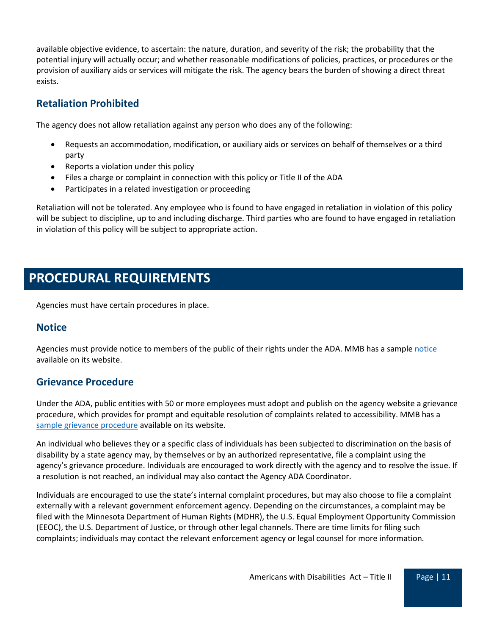available objective evidence, to ascertain: the nature, duration, and severity of the risk; the probability that the potential injury will actually occur; and whether reasonable modifications of policies, practices, or procedures or the provision of auxiliary aids or services will mitigate the risk. The agency bears the burden of showing a direct threat exists.

## **Retaliation Prohibited**

The agency does not allow retaliation against any person who does any of the following:

- Requests an accommodation, modification, or auxiliary aids or services on behalf of themselves or a third party
- Reports a violation under this policy
- Files a charge or complaint in connection with this policy or Title II of the ADA
- Participates in a related investigation or proceeding

Retaliation will not be tolerated. Any employee who is found to have engaged in retaliation in violation of this policy will be subject to discipline, up to and including discharge. Third parties who are found to have engaged in retaliation in violation of this policy will be subject to appropriate action.

# **PROCEDURAL REQUIREMENTS**

Agencies must have certain procedures in place.

## **Notice**

Agencies must provide [notice](https://mn.gov/mmb-stat/equal-opportunity/ada/ada-title-ii-notice-and-grievance-procedure-template.docx) to members of the public of their rights under the ADA. MMB has a sample notice available on its website.

## **Grievance Procedure**

Under the ADA, public entities with 50 or more employees must adopt and publish on the agency website a grievance procedure, which provides for prompt and equitable resolution of complaints related to accessibility. MMB has a [sample grievance procedure](https://mn.gov/mmb-stat/equal-opportunity/ada/ada-title-ii-notice-and-grievance-procedure-template.docx) available on its website.

An individual who believes they or a specific class of individuals has been subjected to discrimination on the basis of disability by a state agency may, by themselves or by an authorized representative, file a complaint using the agency's grievance procedure. Individuals are encouraged to work directly with the agency and to resolve the issue. If a resolution is not reached, an individual may also contact the Agency ADA Coordinator.

Individuals are encouraged to use the state's internal complaint procedures, but may also choose to file a complaint externally with a relevant government enforcement agency. Depending on the circumstances, a complaint may be filed with the Minnesota Department of Human Rights (MDHR), the U.S. Equal Employment Opportunity Commission (EEOC), the U.S. Department of Justice, or through other legal channels. There are time limits for filing such complaints; individuals may contact the relevant enforcement agency or legal counsel for more information.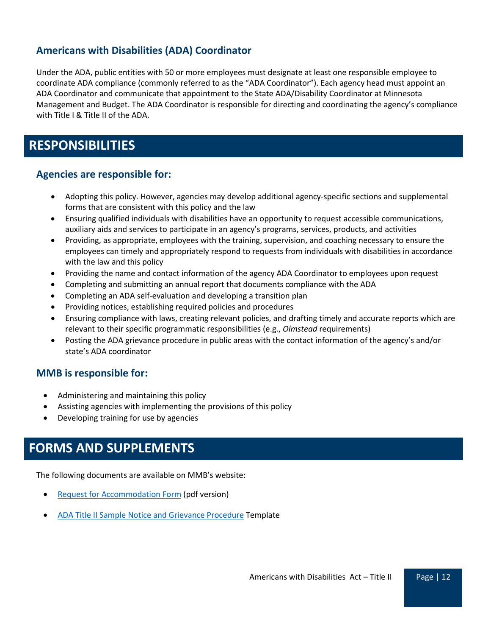## **Americans with Disabilities (ADA) Coordinator**

Under the ADA, public entities with 50 or more employees must designate at least one responsible employee to coordinate ADA compliance (commonly referred to as the "ADA Coordinator"). Each agency head must appoint an ADA Coordinator and communicate that appointment to the State ADA/Disability Coordinator at Minnesota Management and Budget. The ADA Coordinator is responsible for directing and coordinating the agency's compliance with Title I & Title II of the ADA.

# **RESPONSIBILITIES**

## **Agencies are responsible for:**

- Adopting this policy. However, agencies may develop additional agency-specific sections and supplemental forms that are consistent with this policy and the law
- Ensuring qualified individuals with disabilities have an opportunity to request accessible communications, auxiliary aids and services to participate in an agency's programs, services, products, and activities
- Providing, as appropriate, employees with the training, supervision, and coaching necessary to ensure the employees can timely and appropriately respond to requests from individuals with disabilities in accordance with the law and this policy
- Providing the name and contact information of the agency ADA Coordinator to employees upon request
- Completing and submitting an annual report that documents compliance with the ADA
- Completing an ADA self-evaluation and developing a transition plan
- Providing notices, establishing required policies and procedures
- Ensuring compliance with laws, creating relevant policies, and drafting timely and accurate reports which are relevant to their specific programmatic responsibilities (e.g., *Olmstead* requirements)
- Posting the ADA grievance procedure in public areas with the contact information of the agency's and/or state's ADA coordinator

## **MMB is responsible for:**

- Administering and maintaining this policy
- Assisting agencies with implementing the provisions of this policy
- Developing training for use by agencies

# **FORMS AND SUPPLEMENTS**

The following documents are available on MMB's website:

- [Request for Accommodation Form](https://mn.gov/mmb-stat/equal-opportunity/ada/ada-accommodation-request-form-title-ii.pdf) (pdf version)
- [ADA Title II Sample Notice and Grievance Procedure](https://mn.gov/mmb-stat/equal-opportunity/ada/ada-title-ii-notice-and-grievance-procedure-template.docx) Template